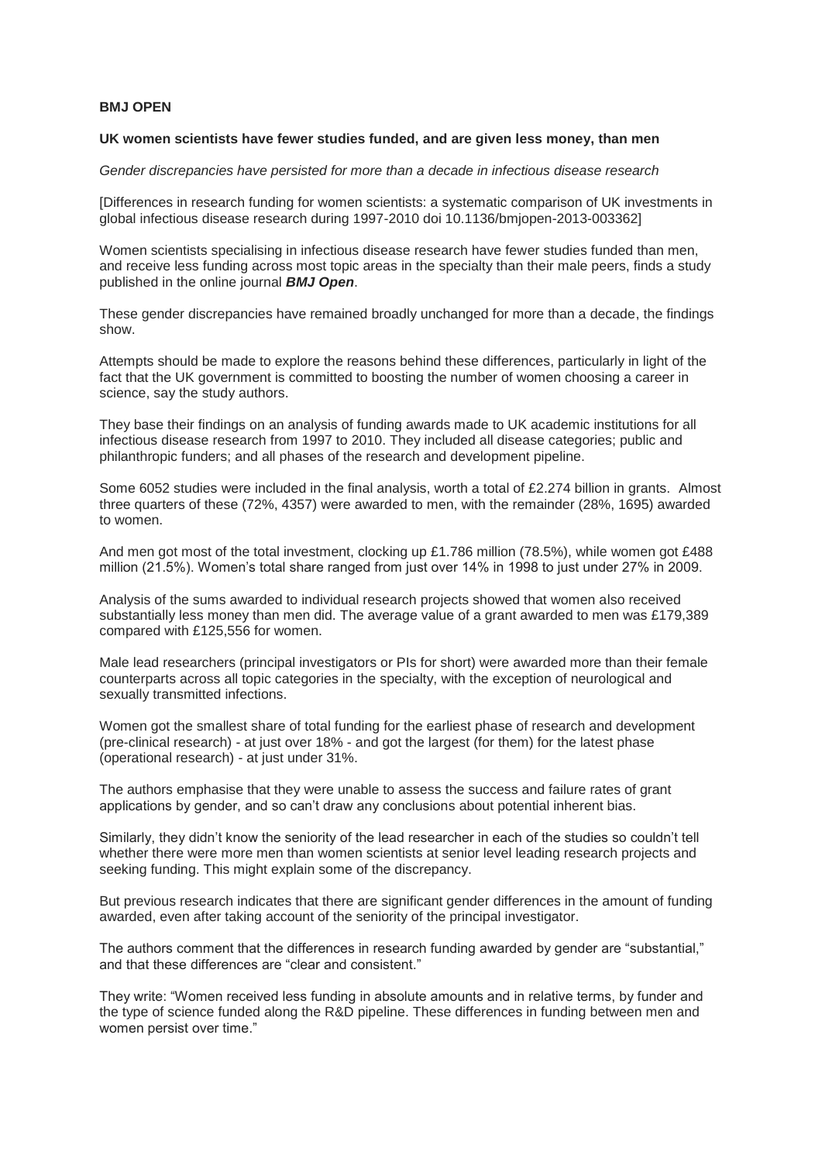## **BMJ OPEN**

## **UK women scientists have fewer studies funded, and are given less money, than men**

*Gender discrepancies have persisted for more than a decade in infectious disease research*

[Differences in research funding for women scientists: a systematic comparison of UK investments in global infectious disease research during 1997-2010 doi 10.1136/bmjopen-2013-003362]

Women scientists specialising in infectious disease research have fewer studies funded than men, and receive less funding across most topic areas in the specialty than their male peers, finds a study published in the online journal *BMJ Open*.

These gender discrepancies have remained broadly unchanged for more than a decade, the findings show.

Attempts should be made to explore the reasons behind these differences, particularly in light of the fact that the UK government is committed to boosting the number of women choosing a career in science, say the study authors.

They base their findings on an analysis of funding awards made to UK academic institutions for all infectious disease research from 1997 to 2010. They included all disease categories; public and philanthropic funders; and all phases of the research and development pipeline.

Some 6052 studies were included in the final analysis, worth a total of £2.274 billion in grants. Almost three quarters of these (72%, 4357) were awarded to men, with the remainder (28%, 1695) awarded to women.

And men got most of the total investment, clocking up £1.786 million (78.5%), while women got £488 million (21.5%). Women's total share ranged from just over 14% in 1998 to just under 27% in 2009.

Analysis of the sums awarded to individual research projects showed that women also received substantially less money than men did. The average value of a grant awarded to men was £179,389 compared with £125,556 for women.

Male lead researchers (principal investigators or PIs for short) were awarded more than their female counterparts across all topic categories in the specialty, with the exception of neurological and sexually transmitted infections.

Women got the smallest share of total funding for the earliest phase of research and development (pre-clinical research) - at just over 18% - and got the largest (for them) for the latest phase (operational research) - at just under 31%.

The authors emphasise that they were unable to assess the success and failure rates of grant applications by gender, and so can't draw any conclusions about potential inherent bias.

Similarly, they didn't know the seniority of the lead researcher in each of the studies so couldn't tell whether there were more men than women scientists at senior level leading research projects and seeking funding. This might explain some of the discrepancy.

But previous research indicates that there are significant gender differences in the amount of funding awarded, even after taking account of the seniority of the principal investigator.

The authors comment that the differences in research funding awarded by gender are "substantial," and that these differences are "clear and consistent."

They write: "Women received less funding in absolute amounts and in relative terms, by funder and the type of science funded along the R&D pipeline. These differences in funding between men and women persist over time."